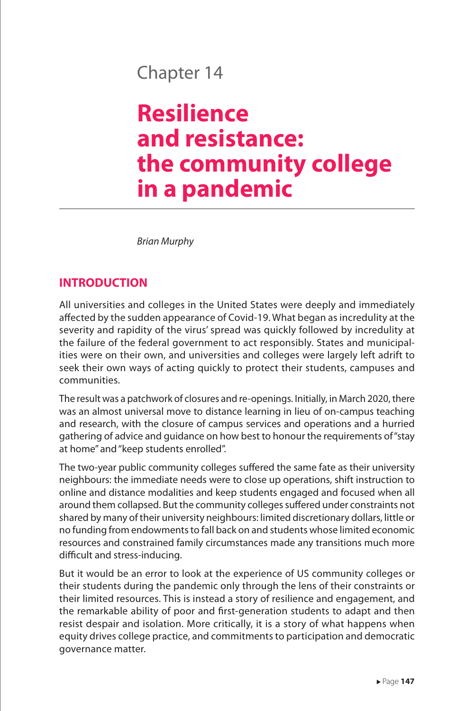## Chapter 14

# **Resilience and resistance: the community college in a pandemic**

*Brian Murphy*

#### **INTRODUCTION**

All universities and colleges in the United States were deeply and immediately affected by the sudden appearance of Covid-19. What began as incredulity at the severity and rapidity of the virus' spread was quickly followed by incredulity at the failure of the federal government to act responsibly. States and municipalities were on their own, and universities and colleges were largely left adrift to seek their own ways of acting quickly to protect their students, campuses and communities.

The result was a patchwork of closures and re-openings. Initially, in March 2020, there was an almost universal move to distance learning in lieu of on-campus teaching and research, with the closure of campus services and operations and a hurried gathering of advice and guidance on how best to honour the requirements of "stay at home" and "keep students enrolled".

The two-year public community colleges suffered the same fate as their university neighbours: the immediate needs were to close up operations, shift instruction to online and distance modalities and keep students engaged and focused when all around them collapsed. But the community colleges suffered under constraints not shared by many of their university neighbours: limited discretionary dollars, little or no funding from endowments to fall back on and students whose limited economic resources and constrained family circumstances made any transitions much more difficult and stress-inducing.

But it would be an error to look at the experience of US community colleges or their students during the pandemic only through the lens of their constraints or their limited resources. This is instead a story of resilience and engagement, and the remarkable ability of poor and first-generation students to adapt and then resist despair and isolation. More critically, it is a story of what happens when equity drives college practice, and commitments to participation and democratic governance matter.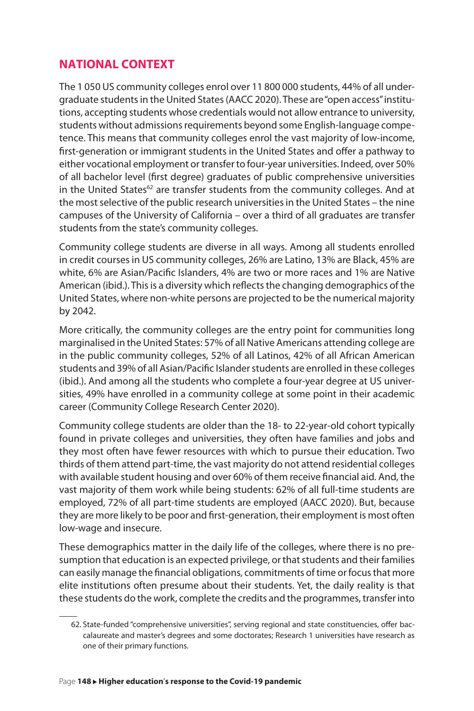#### **NATIONAL CONTEXT**

The 1 050 US community colleges enrol over 11 800 000 students, 44% of all undergraduate students in the United States (AACC 2020). These are "open access" institutions, accepting students whose credentials would not allow entrance to university, students without admissions requirements beyond some English-language competence. This means that community colleges enrol the vast majority of low-income, first-generation or immigrant students in the United States and offer a pathway to either vocational employment or transfer to four-year universities. Indeed, over 50% of all bachelor level (first degree) graduates of public comprehensive universities in the United States<sup>62</sup> are transfer students from the community colleges. And at the most selective of the public research universities in the United States – the nine campuses of the University of California – over a third of all graduates are transfer students from the state's community colleges.

Community college students are diverse in all ways. Among all students enrolled in credit courses in US community colleges, 26% are Latino, 13% are Black, 45% are white, 6% are Asian/Pacific Islanders, 4% are two or more races and 1% are Native American (ibid.). This is a diversity which reflects the changing demographics of the United States, where non-white persons are projected to be the numerical majority by 2042.

More critically, the community colleges are the entry point for communities long marginalised in the United States: 57% of all Native Americans attending college are in the public community colleges, 52% of all Latinos, 42% of all African American students and 39% of all Asian/Pacific Islander students are enrolled in these colleges (ibid.). And among all the students who complete a four-year degree at US universities, 49% have enrolled in a community college at some point in their academic career (Community College Research Center 2020).

Community college students are older than the 18- to 22-year-old cohort typically found in private colleges and universities, they often have families and jobs and they most often have fewer resources with which to pursue their education. Two thirds of them attend part-time, the vast majority do not attend residential colleges with available student housing and over 60% of them receive financial aid. And, the vast majority of them work while being students: 62% of all full-time students are employed, 72% of all part-time students are employed (AACC 2020). But, because they are more likely to be poor and first-generation, their employment is most often low-wage and insecure.

These demographics matter in the daily life of the colleges, where there is no presumption that education is an expected privilege, or that students and their families can easily manage the financial obligations, commitments of time or focus that more elite institutions often presume about their students. Yet, the daily reality is that these students do the work, complete the credits and the programmes, transfer into

<sup>62.</sup> State-funded "comprehensive universities", serving regional and state constituencies, offer baccalaureate and master's degrees and some doctorates; Research 1 universities have research as one of their primary functions.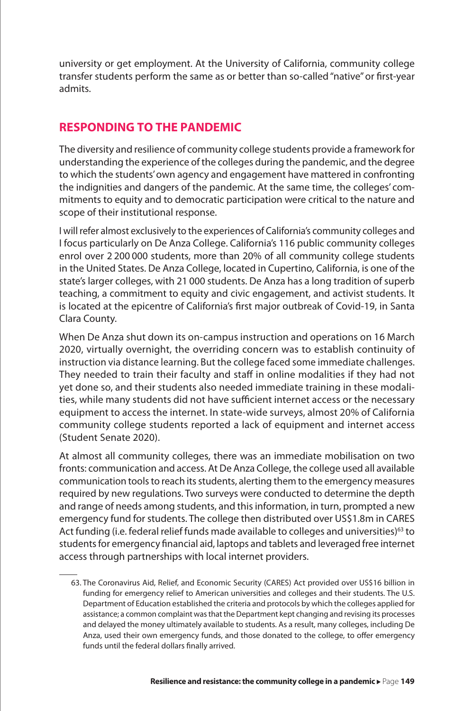university or get employment. At the University of California, community college transfer students perform the same as or better than so-called "native" or first-year admits.

#### **RESPONDING TO THE PANDEMIC**

The diversity and resilience of community college students provide a framework for understanding the experience of the colleges during the pandemic, and the degree to which the students' own agency and engagement have mattered in confronting the indignities and dangers of the pandemic. At the same time, the colleges' commitments to equity and to democratic participation were critical to the nature and scope of their institutional response.

I will refer almost exclusively to the experiences of California's community colleges and I focus particularly on De Anza College. California's 116 public community colleges enrol over 2 200 000 students, more than 20% of all community college students in the United States. De Anza College, located in Cupertino, California, is one of the state's larger colleges, with 21 000 students. De Anza has a long tradition of superb teaching, a commitment to equity and civic engagement, and activist students. It is located at the epicentre of California's first major outbreak of Covid-19, in Santa Clara County.

When De Anza shut down its on-campus instruction and operations on 16 March 2020, virtually overnight, the overriding concern was to establish continuity of instruction via distance learning. But the college faced some immediate challenges. They needed to train their faculty and staff in online modalities if they had not yet done so, and their students also needed immediate training in these modalities, while many students did not have sufficient internet access or the necessary equipment to access the internet. In state-wide surveys, almost 20% of California community college students reported a lack of equipment and internet access (Student Senate 2020).

At almost all community colleges, there was an immediate mobilisation on two fronts: communication and access. At De Anza College, the college used all available communication tools to reach its students, alerting them to the emergency measures required by new regulations. Two surveys were conducted to determine the depth and range of needs among students, and this information, in turn, prompted a new emergency fund for students. The college then distributed over US\$1.8m in CARES Act funding (i.e. federal relief funds made available to colleges and universities)<sup>63</sup> to students for emergency financial aid, laptops and tablets and leveraged free internet access through partnerships with local internet providers.

<sup>63.</sup> The Coronavirus Aid, Relief, and Economic Security (CARES) Act provided over US\$16 billion in funding for emergency relief to American universities and colleges and their students. The U.S. Department of Education established the criteria and protocols by which the colleges applied for assistance; a common complaint was that the Department kept changing and revising its processes and delayed the money ultimately available to students. As a result, many colleges, including De Anza, used their own emergency funds, and those donated to the college, to offer emergency funds until the federal dollars finally arrived.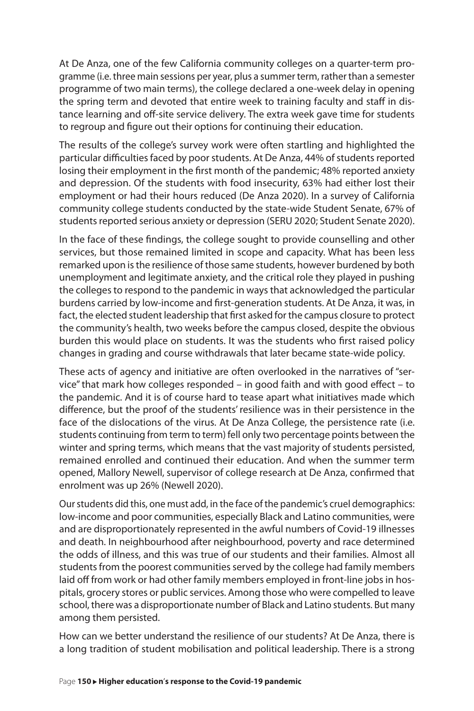At De Anza, one of the few California community colleges on a quarter-term programme (i.e. three main sessions per year, plus a summer term, rather than a semester programme of two main terms), the college declared a one-week delay in opening the spring term and devoted that entire week to training faculty and staff in distance learning and off-site service delivery. The extra week gave time for students to regroup and figure out their options for continuing their education.

The results of the college's survey work were often startling and highlighted the particular difficulties faced by poor students. At De Anza, 44% of students reported losing their employment in the first month of the pandemic; 48% reported anxiety and depression. Of the students with food insecurity, 63% had either lost their employment or had their hours reduced (De Anza 2020). In a survey of California community college students conducted by the state-wide Student Senate, 67% of students reported serious anxiety or depression (SERU 2020; Student Senate 2020).

In the face of these findings, the college sought to provide counselling and other services, but those remained limited in scope and capacity. What has been less remarked upon is the resilience of those same students, however burdened by both unemployment and legitimate anxiety, and the critical role they played in pushing the colleges to respond to the pandemic in ways that acknowledged the particular burdens carried by low-income and first-generation students. At De Anza, it was, in fact, the elected student leadership that first asked for the campus closure to protect the community's health, two weeks before the campus closed, despite the obvious burden this would place on students. It was the students who first raised policy changes in grading and course withdrawals that later became state-wide policy.

These acts of agency and initiative are often overlooked in the narratives of "service" that mark how colleges responded – in good faith and with good effect – to the pandemic. And it is of course hard to tease apart what initiatives made which difference, but the proof of the students' resilience was in their persistence in the face of the dislocations of the virus. At De Anza College, the persistence rate (i.e. students continuing from term to term) fell only two percentage points between the winter and spring terms, which means that the vast majority of students persisted, remained enrolled and continued their education. And when the summer term opened, Mallory Newell, supervisor of college research at De Anza, confirmed that enrolment was up 26% (Newell 2020).

Our students did this, one must add, in the face of the pandemic's cruel demographics: low-income and poor communities, especially Black and Latino communities, were and are disproportionately represented in the awful numbers of Covid-19 illnesses and death. In neighbourhood after neighbourhood, poverty and race determined the odds of illness, and this was true of our students and their families. Almost all students from the poorest communities served by the college had family members laid off from work or had other family members employed in front-line jobs in hospitals, grocery stores or public services. Among those who were compelled to leave school, there was a disproportionate number of Black and Latino students. But many among them persisted.

How can we better understand the resilience of our students? At De Anza, there is a long tradition of student mobilisation and political leadership. There is a strong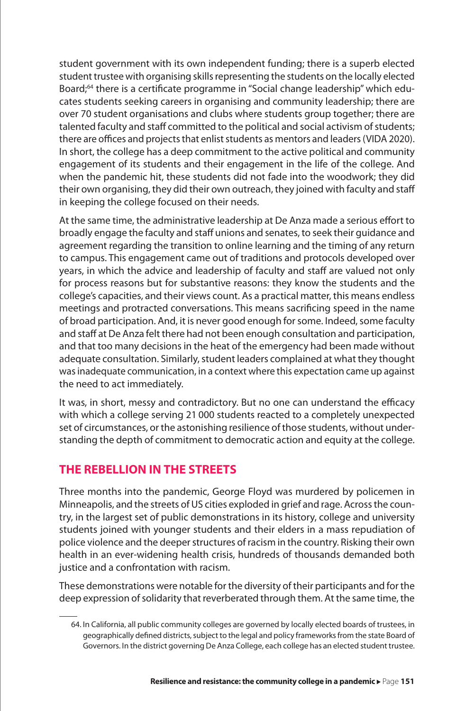student government with its own independent funding; there is a superb elected student trustee with organising skills representing the students on the locally elected Board;64 there is a certificate programme in "Social change leadership" which educates students seeking careers in organising and community leadership; there are over 70 student organisations and clubs where students group together; there are talented faculty and staff committed to the political and social activism of students; there are offices and projects that enlist students as mentors and leaders (VIDA 2020). In short, the college has a deep commitment to the active political and community engagement of its students and their engagement in the life of the college. And when the pandemic hit, these students did not fade into the woodwork; they did their own organising, they did their own outreach, they joined with faculty and staff in keeping the college focused on their needs.

At the same time, the administrative leadership at De Anza made a serious effort to broadly engage the faculty and staff unions and senates, to seek their guidance and agreement regarding the transition to online learning and the timing of any return to campus. This engagement came out of traditions and protocols developed over years, in which the advice and leadership of faculty and staff are valued not only for process reasons but for substantive reasons: they know the students and the college's capacities, and their views count. As a practical matter, this means endless meetings and protracted conversations. This means sacrificing speed in the name of broad participation. And, it is never good enough for some. Indeed, some faculty and staff at De Anza felt there had not been enough consultation and participation, and that too many decisions in the heat of the emergency had been made without adequate consultation. Similarly, student leaders complained at what they thought was inadequate communication, in a context where this expectation came up against the need to act immediately.

It was, in short, messy and contradictory. But no one can understand the efficacy with which a college serving 21 000 students reacted to a completely unexpected set of circumstances, or the astonishing resilience of those students, without understanding the depth of commitment to democratic action and equity at the college.

### **THE REBELLION IN THE STREETS**

Three months into the pandemic, George Floyd was murdered by policemen in Minneapolis, and the streets of US cities exploded in grief and rage. Across the country, in the largest set of public demonstrations in its history, college and university students joined with younger students and their elders in a mass repudiation of police violence and the deeper structures of racism in the country. Risking their own health in an ever-widening health crisis, hundreds of thousands demanded both justice and a confrontation with racism.

These demonstrations were notable for the diversity of their participants and for the deep expression of solidarity that reverberated through them. At the same time, the

<sup>64.</sup> In California, all public community colleges are governed by locally elected boards of trustees, in geographically defined districts, subject to the legal and policy frameworks from the state Board of Governors. In the district governing De Anza College, each college has an elected student trustee.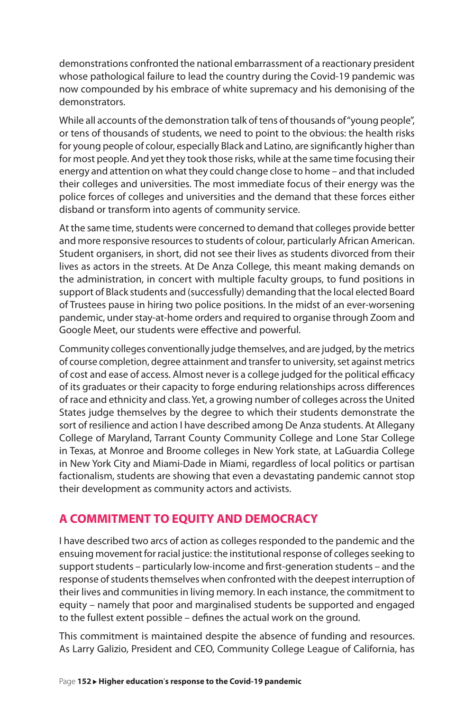demonstrations confronted the national embarrassment of a reactionary president whose pathological failure to lead the country during the Covid-19 pandemic was now compounded by his embrace of white supremacy and his demonising of the demonstrators.

While all accounts of the demonstration talk of tens of thousands of "young people", or tens of thousands of students, we need to point to the obvious: the health risks for young people of colour, especially Black and Latino, are significantly higher than for most people. And yet they took those risks, while at the same time focusing their energy and attention on what they could change close to home – and that included their colleges and universities. The most immediate focus of their energy was the police forces of colleges and universities and the demand that these forces either disband or transform into agents of community service.

At the same time, students were concerned to demand that colleges provide better and more responsive resources to students of colour, particularly African American. Student organisers, in short, did not see their lives as students divorced from their lives as actors in the streets. At De Anza College, this meant making demands on the administration, in concert with multiple faculty groups, to fund positions in support of Black students and (successfully) demanding that the local elected Board of Trustees pause in hiring two police positions. In the midst of an ever-worsening pandemic, under stay-at-home orders and required to organise through Zoom and Google Meet, our students were effective and powerful.

Community colleges conventionally judge themselves, and are judged, by the metrics of course completion, degree attainment and transfer to university, set against metrics of cost and ease of access. Almost never is a college judged for the political efficacy of its graduates or their capacity to forge enduring relationships across differences of race and ethnicity and class. Yet, a growing number of colleges across the United States judge themselves by the degree to which their students demonstrate the sort of resilience and action I have described among De Anza students. At Allegany College of Maryland, Tarrant County Community College and Lone Star College in Texas, at Monroe and Broome colleges in New York state, at LaGuardia College in New York City and Miami-Dade in Miami, regardless of local politics or partisan factionalism, students are showing that even a devastating pandemic cannot stop their development as community actors and activists.

#### **A COMMITMENT TO EQUITY AND DEMOCRACY**

I have described two arcs of action as colleges responded to the pandemic and the ensuing movement for racial justice: the institutional response of colleges seeking to support students – particularly low-income and first-generation students – and the response of students themselves when confronted with the deepest interruption of their lives and communities in living memory. In each instance, the commitment to equity – namely that poor and marginalised students be supported and engaged to the fullest extent possible – defines the actual work on the ground.

This commitment is maintained despite the absence of funding and resources. As Larry Galizio, President and CEO, Community College League of California, has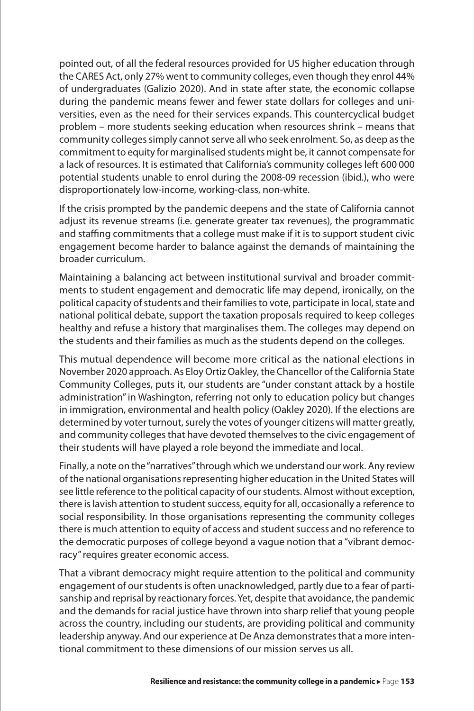pointed out, of all the federal resources provided for US higher education through the CARES Act, only 27% went to community colleges, even though they enrol 44% of undergraduates (Galizio 2020). And in state after state, the economic collapse during the pandemic means fewer and fewer state dollars for colleges and universities, even as the need for their services expands. This countercyclical budget problem – more students seeking education when resources shrink – means that community colleges simply cannot serve all who seek enrolment. So, as deep as the commitment to equity for marginalised students might be, it cannot compensate for a lack of resources. It is estimated that California's community colleges left 600 000 potential students unable to enrol during the 2008-09 recession (ibid.), who were disproportionately low-income, working-class, non-white.

If the crisis prompted by the pandemic deepens and the state of California cannot adjust its revenue streams (i.e. generate greater tax revenues), the programmatic and staffing commitments that a college must make if it is to support student civic engagement become harder to balance against the demands of maintaining the broader curriculum.

Maintaining a balancing act between institutional survival and broader commitments to student engagement and democratic life may depend, ironically, on the political capacity of students and their families to vote, participate in local, state and national political debate, support the taxation proposals required to keep colleges healthy and refuse a history that marginalises them. The colleges may depend on the students and their families as much as the students depend on the colleges.

This mutual dependence will become more critical as the national elections in November 2020 approach. As Eloy Ortiz Oakley, the Chancellor of the California State Community Colleges, puts it, our students are "under constant attack by a hostile administration" in Washington, referring not only to education policy but changes in immigration, environmental and health policy (Oakley 2020). If the elections are determined by voter turnout, surely the votes of younger citizens will matter greatly, and community colleges that have devoted themselves to the civic engagement of their students will have played a role beyond the immediate and local.

Finally, a note on the "narratives" through which we understand our work. Any review of the national organisations representing higher education in the United States will see little reference to the political capacity of our students. Almost without exception, there is lavish attention to student success, equity for all, occasionally a reference to social responsibility. In those organisations representing the community colleges there is much attention to equity of access and student success and no reference to the democratic purposes of college beyond a vague notion that a "vibrant democracy" requires greater economic access.

That a vibrant democracy might require attention to the political and community engagement of our students is often unacknowledged, partly due to a fear of partisanship and reprisal by reactionary forces. Yet, despite that avoidance, the pandemic and the demands for racial justice have thrown into sharp relief that young people across the country, including our students, are providing political and community leadership anyway. And our experience at De Anza demonstrates that a more intentional commitment to these dimensions of our mission serves us all.